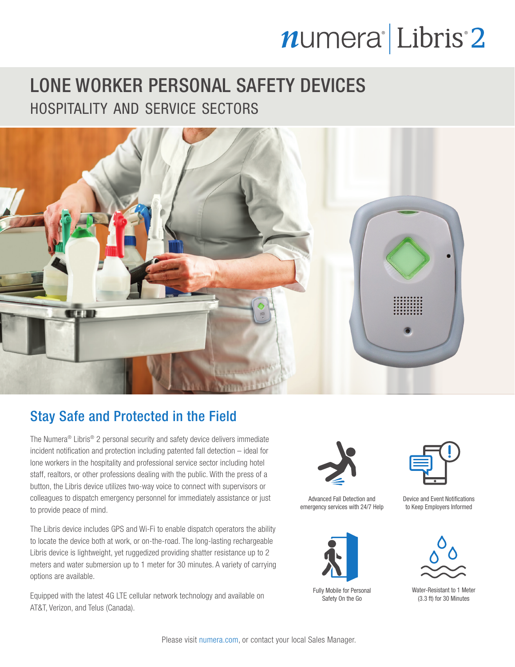# numera<sup>l</sup>Libris<sup>2</sup>

## LONE WORKER PERSONAL SAFETY DEVICES hospitality and service sectors



### Stay Safe and Protected in the Field

The Numera® Libris® 2 personal security and safety device delivers immediate incident notification and protection including patented fall detection – ideal for lone workers in the hospitality and professional service sector including hotel staff, realtors, or other professions dealing with the public. With the press of a button, the Libris device utilizes two-way voice to connect with supervisors or colleagues to dispatch emergency personnel for immediately assistance or just to provide peace of mind.

The Libris device includes GPS and Wi-Fi to enable dispatch operators the ability to locate the device both at work, or on-the-road. The long-lasting rechargeable Libris device is lightweight, yet ruggedized providing shatter resistance up to 2 meters and water submersion up to 1 meter for 30 minutes. A variety of carrying options are available.

Equipped with the latest 4G LTE cellular network technology and available on AT&T, Verizon, and Telus (Canada).



Advanced Fall Detection and emergency services with 24/7 Help



Fully Mobile for Personal Safety On the Go



Device and Event Notifications to Keep Employers Informed



Water-Resistant to 1 Meter (3.3 ft) for 30 Minutes